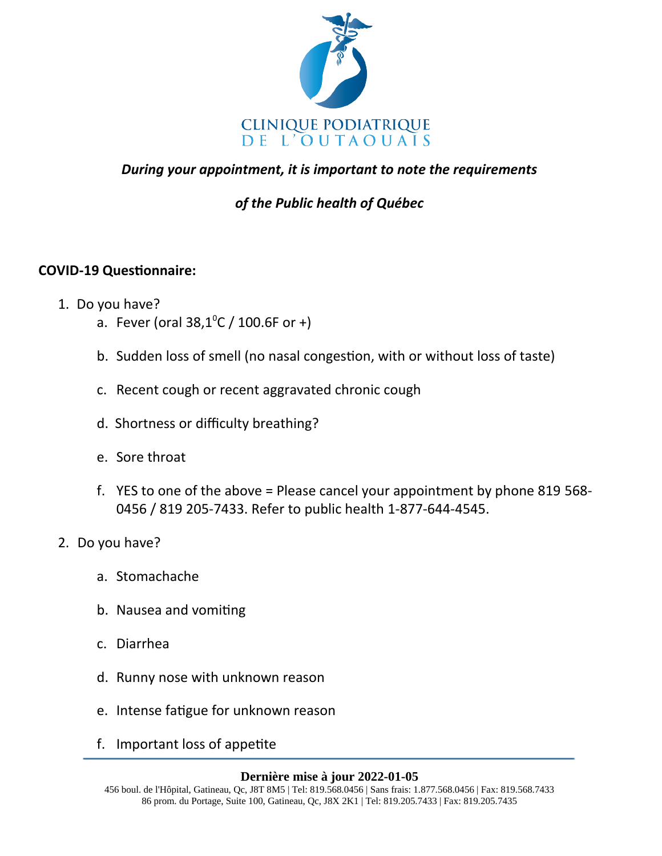

## *During your appointment, it is important to note the requirements*

# *of the Public health of Québec*

### **COVID-19 Questionnaire:**

- 1. Do you have?
	- a. Fever (oral  $38,1^{\circ}$ C / 100.6F or +)
	- b. Sudden loss of smell (no nasal congestion, with or without loss of taste)
	- c. Recent cough or recent aggravated chronic cough
	- d. Shortness or difficulty breathing?
	- e. Sore throat
	- f. YES to one of the above = Please cancel your appointment by phone 819 568- 0456 / 819 205-7433. Refer to public health 1-877-644-4545.
- 2. Do you have?
	- a. Stomachache
	- b. Nausea and vomiting
	- c. Diarrhea
	- d. Runny nose with unknown reason
	- e. Intense fatigue for unknown reason
	- f. Important loss of appetite

### **Dernière mise à jour 2022-01-05**

<sup>456</sup> boul. de l'Hôpital, Gatineau, Qc, J8T 8M5 | Tel: 819.568.0456 | Sans frais: 1.877.568.0456 | Fax: 819.568.7433 86 prom. du Portage, Suite 100, Gatineau, Qc, J8X 2K1 | Tel: 819.205.7433 | Fax: 819.205.7435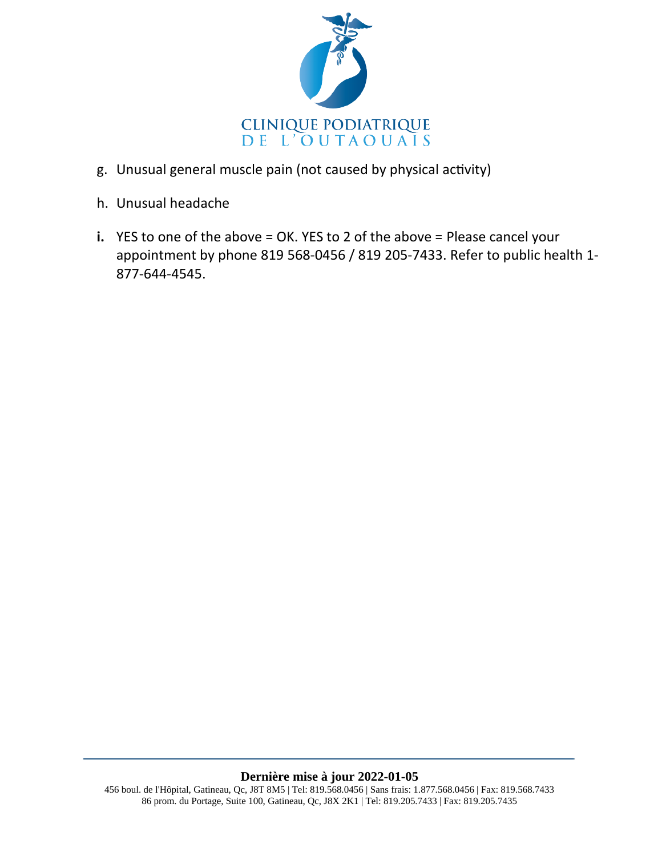

- g. Unusual general muscle pain (not caused by physical activity)
- h. Unusual headache
- **i.** YES to one of the above = OK. YES to 2 of the above = Please cancel your appointment by phone 819 568-0456 / 819 205-7433. Refer to public health 1- 877-644-4545.

#### **Dernière mise à jour 2022-01-05**

<sup>456</sup> boul. de l'Hôpital, Gatineau, Qc, J8T 8M5 | Tel: 819.568.0456 | Sans frais: 1.877.568.0456 | Fax: 819.568.7433 86 prom. du Portage, Suite 100, Gatineau, Qc, J8X 2K1 | Tel: 819.205.7433 | Fax: 819.205.7435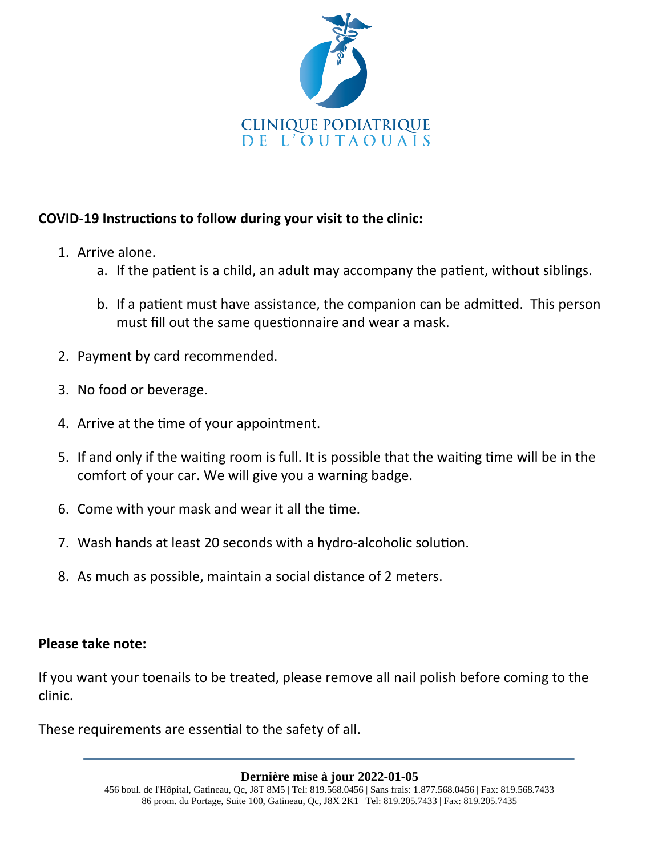

## **COVID-19 Instructions to follow during your visit to the clinic:**

- 1. Arrive alone.
	- a. If the patient is a child, an adult may accompany the patient, without siblings.
	- b. If a patient must have assistance, the companion can be admitted. This person must fill out the same questionnaire and wear a mask.
- 2. Payment by card recommended.
- 3. No food or beverage.
- 4. Arrive at the time of your appointment.
- 5. If and only if the waiting room is full. It is possible that the waiting time will be in the comfort of your car. We will give you a warning badge.
- 6. Come with your mask and wear it all the time.
- 7. Wash hands at least 20 seconds with a hydro-alcoholic solution.
- 8. As much as possible, maintain a social distance of 2 meters.

### **Please take note:**

If you want your toenails to be treated, please remove all nail polish before coming to the clinic.

These requirements are essential to the safety of all.